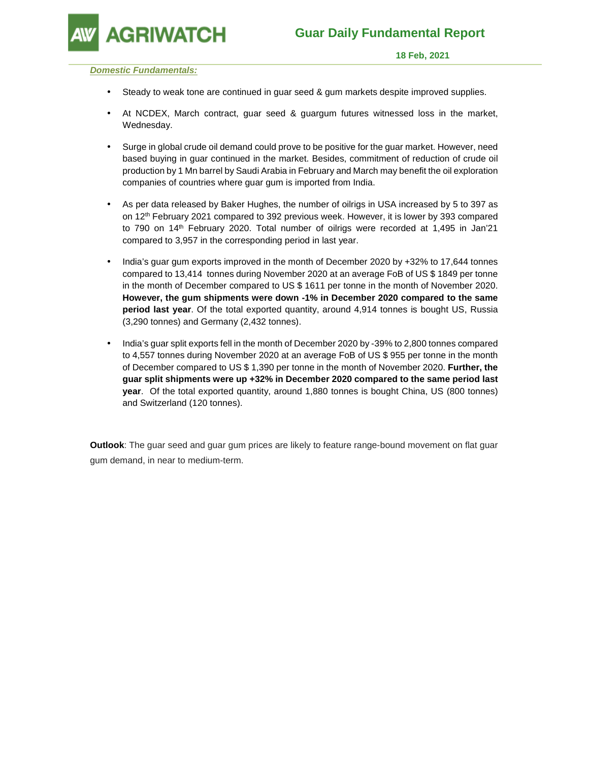

#### **Domestic Fundamentals:**

- Steady to weak tone are continued in guar seed & gum markets despite improved supplies.
- At NCDEX, March contract, guar seed & guargum futures witnessed loss in the market, Wednesday.
- Surge in global crude oil demand could prove to be positive for the guar market. However, need based buying in guar continued in the market. Besides, commitment of reduction of crude oil production by 1 Mn barrel by Saudi Arabia in February and March may benefit the oil exploration companies of countries where guar gum is imported from India.
- As per data released by Baker Hughes, the number of oilrigs in USA increased by 5 to 397 as on 12th February 2021 compared to 392 previous week. However, it is lower by 393 compared to 790 on 14<sup>th</sup> February 2020. Total number of oilrigs were recorded at 1,495 in Jan'21 compared to 3,957 in the corresponding period in last year.
- India's guar gum exports improved in the month of December 2020 by +32% to 17,644 tonnes compared to 13,414 tonnes during November 2020 at an average FoB of US \$ 1849 per tonne in the month of December compared to US \$ 1611 per tonne in the month of November 2020. **However, the gum shipments were down -1% in December 2020 compared to the same period last year**. Of the total exported quantity, around 4,914 tonnes is bought US, Russia (3,290 tonnes) and Germany (2,432 tonnes).
- India's guar split exports fell in the month of December 2020 by -39% to 2,800 tonnes compared to 4,557 tonnes during November 2020 at an average FoB of US \$ 955 per tonne in the month of December compared to US \$ 1,390 per tonne in the month of November 2020. **Further, the guar split shipments were up +32% in December 2020 compared to the same period last year**. Of the total exported quantity, around 1,880 tonnes is bought China, US (800 tonnes) and Switzerland (120 tonnes).

**Outlook**: The guar seed and guar gum prices are likely to feature range-bound movement on flat guar gum demand, in near to medium-term.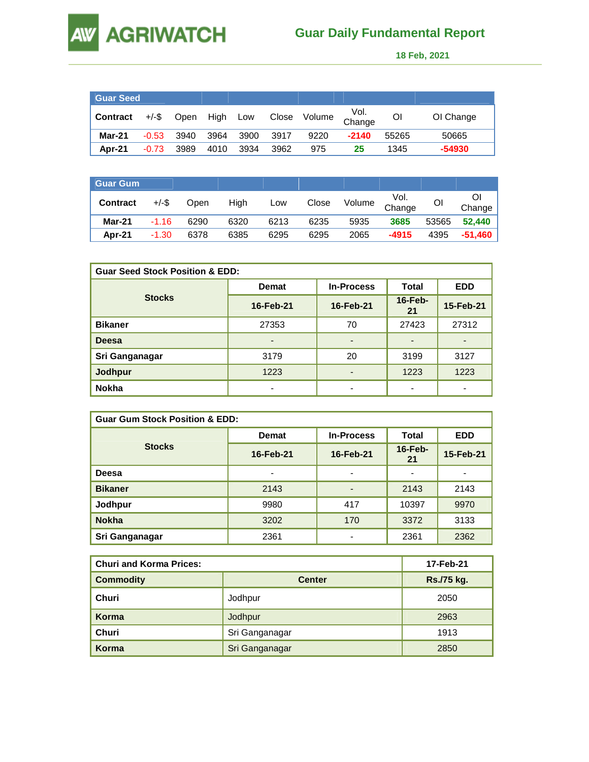# **AW AGRIWATCH**

## **Guar Daily Fundamental Report**

 **18 Feb, 2021** 

| <b>Guar Seed</b> |          |      |      |      |       |        |                |       |           |
|------------------|----------|------|------|------|-------|--------|----------------|-------|-----------|
| <b>Contract</b>  | $+/-$ \$ | Open | High | Low  | Close | Volume | Vol.<br>Change | Οl    | OI Change |
| Mar-21           | $-0.53$  | 3940 | 3964 | 3900 | 3917  | 9220   | $-2140$        | 55265 | 50665     |
| Apr-21           | $-0.73$  | 3989 | 4010 | 3934 | 3962  | 975    | 25             | 1345  | $-54930$  |

| <b>Guar Gum</b> |          |      |      |      |       |                       |         |       |         |
|-----------------|----------|------|------|------|-------|-----------------------|---------|-------|---------|
| <b>Contract</b> | $+/-$ \$ | Open | High | Low  | Close | Volume Vol.<br>Change |         | Οl    | Change  |
| <b>Mar-21</b>   | $-1.16$  | 6290 | 6320 | 6213 | 6235  | 5935                  | 3685    | 53565 | 52,440  |
| Apr-21          | $-1.30$  | 6378 | 6385 | 6295 | 6295  | 2065                  | $-4915$ | 4395  | -51,460 |

| <b>Guar Seed Stock Position &amp; EDD:</b> |                          |                              |                  |            |  |  |
|--------------------------------------------|--------------------------|------------------------------|------------------|------------|--|--|
|                                            | <b>Demat</b>             | <b>In-Process</b>            |                  | <b>EDD</b> |  |  |
| <b>Stocks</b>                              | 16-Feb-21                | 16-Feb-21                    | $16$ -Feb-<br>21 | 15-Feb-21  |  |  |
| <b>Bikaner</b>                             | 27353                    | 70                           | 27423            | 27312      |  |  |
| Deesa                                      | $\overline{\phantom{0}}$ | $\qquad \qquad \blacksquare$ |                  |            |  |  |
| Sri Ganganagar                             | 3179                     | 20                           | 3199             | 3127       |  |  |
| <b>Jodhpur</b>                             | 1223                     | $\overline{\phantom{0}}$     | 1223             | 1223       |  |  |
| <b>Nokha</b>                               | $\overline{\phantom{0}}$ | $\overline{\phantom{0}}$     |                  |            |  |  |

| <b>Guar Gum Stock Position &amp; EDD:</b> |                          |                          |                  |            |  |  |  |
|-------------------------------------------|--------------------------|--------------------------|------------------|------------|--|--|--|
|                                           | <b>Demat</b>             | <b>In-Process</b>        | Total            | <b>EDD</b> |  |  |  |
| <b>Stocks</b>                             | 16-Feb-21                | 16-Feb-21                | $16$ -Feb-<br>21 | 15-Feb-21  |  |  |  |
| Deesa                                     | $\overline{\phantom{0}}$ | $\overline{\phantom{a}}$ |                  |            |  |  |  |
| <b>Bikaner</b>                            | 2143                     | $\overline{\phantom{0}}$ | 2143             | 2143       |  |  |  |
| Jodhpur                                   | 9980                     | 417                      | 10397            | 9970       |  |  |  |
| <b>Nokha</b>                              | 3202                     | 170                      | 3372             | 3133       |  |  |  |
| Sri Ganganagar                            | 2361                     |                          | 2361             | 2362       |  |  |  |

| <b>Churi and Korma Prices:</b> |                | 17-Feb-21  |  |  |
|--------------------------------|----------------|------------|--|--|
| <b>Commodity</b>               | <b>Center</b>  | Rs./75 kg. |  |  |
| Churi                          | Jodhpur        | 2050       |  |  |
| Korma                          | Jodhpur        | 2963       |  |  |
| Churi                          | Sri Ganganagar | 1913       |  |  |
| Korma                          | Sri Ganganagar | 2850       |  |  |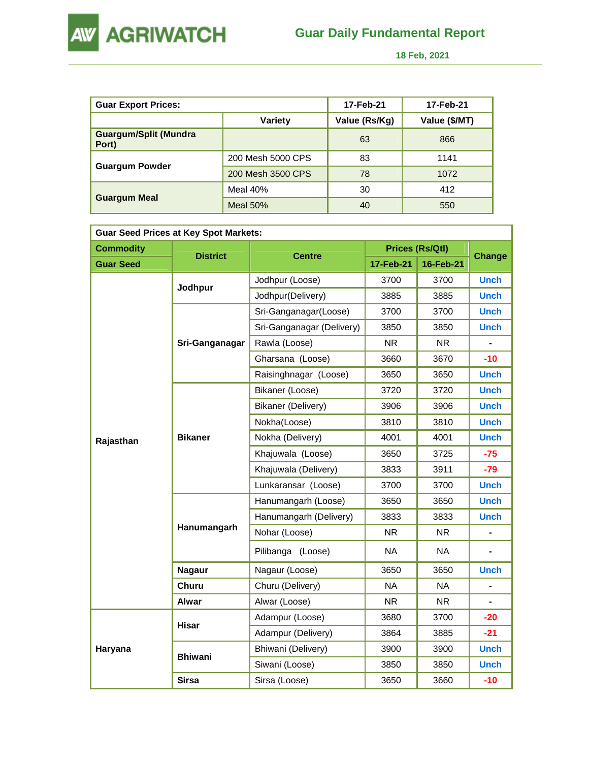

 **18 Feb, 2021** 

| <b>Guar Export Prices:</b>            |                   | 17-Feb-21     | 17-Feb-21 |
|---------------------------------------|-------------------|---------------|-----------|
|                                       | Value (Rs/Kg)     | Value (\$/MT) |           |
| <b>Guargum/Split (Mundra</b><br>Port) |                   | 63            | 866       |
|                                       | 200 Mesh 5000 CPS | 83            | 1141      |
| <b>Guargum Powder</b>                 | 200 Mesh 3500 CPS | 78            | 1072      |
|                                       | Meal $40%$        | 30            | 412       |
| <b>Guargum Meal</b>                   | Meal $50%$        | 40            | 550       |

| <b>Guar Seed Prices at Key Spot Markets:</b> |                 |                           |           |                 |               |  |  |
|----------------------------------------------|-----------------|---------------------------|-----------|-----------------|---------------|--|--|
| <b>Commodity</b>                             |                 | <b>Centre</b>             |           | Prices (Rs/Qtl) | <b>Change</b> |  |  |
| <b>Guar Seed</b>                             | <b>District</b> |                           | 17-Feb-21 | 16-Feb-21       |               |  |  |
|                                              |                 | Jodhpur (Loose)           | 3700      | 3700            | <b>Unch</b>   |  |  |
|                                              | Jodhpur         | Jodhpur(Delivery)         | 3885      | 3885            | <b>Unch</b>   |  |  |
|                                              |                 | Sri-Ganganagar(Loose)     | 3700      | 3700            | <b>Unch</b>   |  |  |
|                                              |                 | Sri-Ganganagar (Delivery) | 3850      | 3850            | <b>Unch</b>   |  |  |
|                                              | Sri-Ganganagar  | Rawla (Loose)             | <b>NR</b> | <b>NR</b>       |               |  |  |
|                                              |                 | Gharsana (Loose)          | 3660      | 3670            | $-10$         |  |  |
|                                              |                 | Raisinghnagar (Loose)     | 3650      | 3650            | <b>Unch</b>   |  |  |
|                                              | <b>Bikaner</b>  | Bikaner (Loose)           | 3720      | 3720            | <b>Unch</b>   |  |  |
| Rajasthan                                    |                 | Bikaner (Delivery)        | 3906      | 3906            | <b>Unch</b>   |  |  |
|                                              |                 | Nokha(Loose)              | 3810      | 3810            | <b>Unch</b>   |  |  |
|                                              |                 | Nokha (Delivery)          | 4001      | 4001            | <b>Unch</b>   |  |  |
|                                              |                 | Khajuwala (Loose)         | 3650      | 3725            | $-75$         |  |  |
|                                              |                 | Khajuwala (Delivery)      | 3833      | 3911            | $-79$         |  |  |
|                                              |                 | Lunkaransar (Loose)       | 3700      | 3700            | <b>Unch</b>   |  |  |
|                                              |                 | Hanumangarh (Loose)       | 3650      | 3650            | <b>Unch</b>   |  |  |
|                                              |                 | Hanumangarh (Delivery)    | 3833      | 3833            | <b>Unch</b>   |  |  |
|                                              | Hanumangarh     | Nohar (Loose)             | <b>NR</b> | <b>NR</b>       |               |  |  |
|                                              |                 | Pilibanga (Loose)         | <b>NA</b> | <b>NA</b>       |               |  |  |
|                                              | <b>Nagaur</b>   | Nagaur (Loose)            | 3650      | 3650            | <b>Unch</b>   |  |  |
|                                              | Churu           | Churu (Delivery)          | <b>NA</b> | <b>NA</b>       | ٠             |  |  |
|                                              | <b>Alwar</b>    | Alwar (Loose)             | <b>NR</b> | <b>NR</b>       |               |  |  |
|                                              | Hisar           | Adampur (Loose)           | 3680      | 3700            | $-20$         |  |  |
|                                              |                 | Adampur (Delivery)        | 3864      | 3885            | $-21$         |  |  |
| Haryana                                      | <b>Bhiwani</b>  | Bhiwani (Delivery)        | 3900      | 3900            | <b>Unch</b>   |  |  |
|                                              |                 | Siwani (Loose)            | 3850      | 3850            | Unch          |  |  |
|                                              | <b>Sirsa</b>    | Sirsa (Loose)             | 3650      | 3660            | -10           |  |  |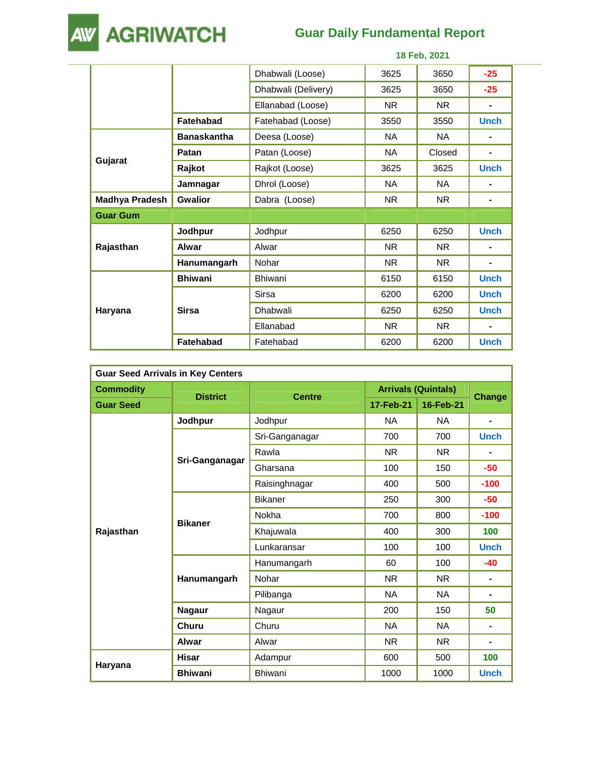## **Guar Daily Fundamental Report**



|                       |                    |                     |           | 18 Feb, 2021 |                |
|-----------------------|--------------------|---------------------|-----------|--------------|----------------|
|                       |                    | Dhabwali (Loose)    | 3625      | 3650         | $-25$          |
|                       |                    | Dhabwali (Delivery) | 3625      | 3650         | $-25$          |
|                       |                    | Ellanabad (Loose)   | <b>NR</b> | <b>NR</b>    | ۰              |
|                       | <b>Fatehabad</b>   | Fatehabad (Loose)   | 3550      | 3550         | <b>Unch</b>    |
|                       | <b>Banaskantha</b> | Deesa (Loose)       | <b>NA</b> | <b>NA</b>    | ۰              |
|                       | Patan              | Patan (Loose)       | <b>NA</b> | Closed       | $\blacksquare$ |
| Gujarat               | Rajkot             | Rajkot (Loose)      | 3625      | 3625         | <b>Unch</b>    |
|                       | Jamnagar           | Dhrol (Loose)       | <b>NA</b> | NA.          | ۰              |
| <b>Madhya Pradesh</b> | <b>Gwalior</b>     | Dabra (Loose)       | <b>NR</b> | <b>NR</b>    | ۰              |
| <b>Guar Gum</b>       |                    |                     |           |              |                |
|                       | Jodhpur            | Jodhpur             | 6250      | 6250         | <b>Unch</b>    |
| Rajasthan             | Alwar              | Alwar               | NR.       | NR.          |                |
|                       | Hanumangarh        | Nohar               | NR.       | NR.          | -              |
|                       | <b>Bhiwani</b>     | <b>Bhiwani</b>      | 6150      | 6150         | <b>Unch</b>    |
|                       |                    | <b>Sirsa</b>        | 6200      | 6200         | <b>Unch</b>    |
| Haryana               | <b>Sirsa</b>       | Dhabwali            | 6250      | 6250         | <b>Unch</b>    |
|                       |                    | Ellanabad           | <b>NR</b> | <b>NR</b>    | $\blacksquare$ |
|                       | <b>Fatehabad</b>   | Fatehabad           | 6200      | 6200         | <b>Unch</b>    |

| <b>Guar Seed Arrivals in Key Centers</b> |                 |                |                            |                |                |  |
|------------------------------------------|-----------------|----------------|----------------------------|----------------|----------------|--|
| <b>Commodity</b>                         | <b>District</b> | <b>Centre</b>  | <b>Arrivals (Quintals)</b> |                |                |  |
| <b>Guar Seed</b>                         |                 |                | 17-Feb-21                  | 16-Feb-21      | <b>Change</b>  |  |
|                                          | Jodhpur         | Jodhpur        | <b>NA</b>                  | <b>NA</b>      |                |  |
|                                          |                 | Sri-Ganganagar | 700                        | 700            | <b>Unch</b>    |  |
|                                          |                 | Rawla          | <b>NR</b>                  | N <sub>R</sub> |                |  |
|                                          | Sri-Ganganagar  | Gharsana       | 100                        | 150            | $-50$          |  |
|                                          |                 | Raisinghnagar  | 400                        | 500            | $-100$         |  |
|                                          | <b>Bikaner</b>  | <b>Bikaner</b> | 250                        | 300            | $-50$          |  |
|                                          |                 | Nokha          | 700                        | 800            | $-100$         |  |
| Rajasthan                                |                 | Khajuwala      | 400                        | 300            | 100            |  |
|                                          |                 | Lunkaransar    | 100                        | 100            | <b>Unch</b>    |  |
|                                          | Hanumangarh     | Hanumangarh    | 60                         | 100            | $-40$          |  |
|                                          |                 | Nohar          | NR.                        | NR.            | $\blacksquare$ |  |
|                                          |                 | Pilibanga      | <b>NA</b>                  | <b>NA</b>      | -              |  |
|                                          | <b>Nagaur</b>   | Nagaur         | 200                        | 150            | 50             |  |
|                                          | Churu           | Churu          | <b>NA</b>                  | <b>NA</b>      | ۰              |  |
|                                          | Alwar           | Alwar          | <b>NR</b>                  | <b>NR</b>      |                |  |
|                                          | <b>Hisar</b>    | Adampur        | 600                        | 500            | 100            |  |
| Haryana                                  | <b>Bhiwani</b>  | Bhiwani        | 1000                       | 1000           | <b>Unch</b>    |  |